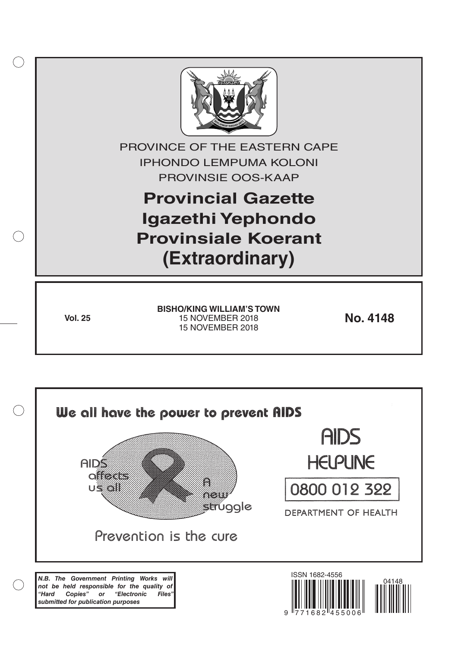

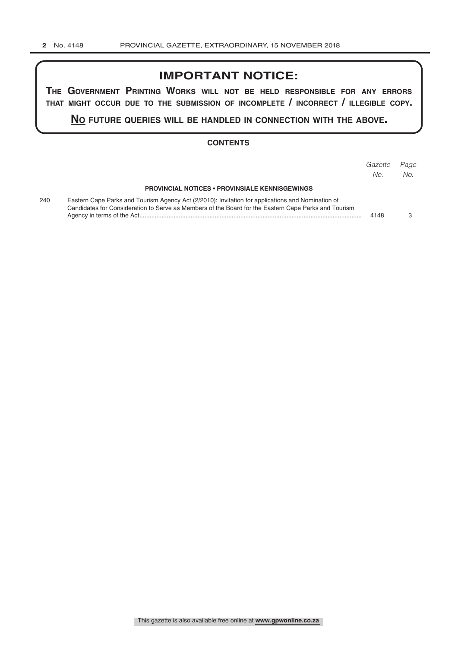## **IMPORTANT NOTICE:**

**The GovernmenT PrinTinG Works Will noT be held resPonsible for any errors ThaT miGhT occur due To The submission of incomPleTe / incorrecT / illeGible coPy.**

**no fuTure queries Will be handled in connecTion WiTh The above.**

#### **CONTENTS**

|     |                                                                                                                                                                                                           | Gazette<br>No. | Page<br>No. |
|-----|-----------------------------------------------------------------------------------------------------------------------------------------------------------------------------------------------------------|----------------|-------------|
|     | <b>PROVINCIAL NOTICES • PROVINSIALE KENNISGEWINGS</b>                                                                                                                                                     |                |             |
| 240 | Eastern Cape Parks and Tourism Agency Act (2/2010): Invitation for applications and Nomination of<br>Candidates for Consideration to Serve as Members of the Board for the Eastern Cape Parks and Tourism |                |             |
|     |                                                                                                                                                                                                           | 4148           |             |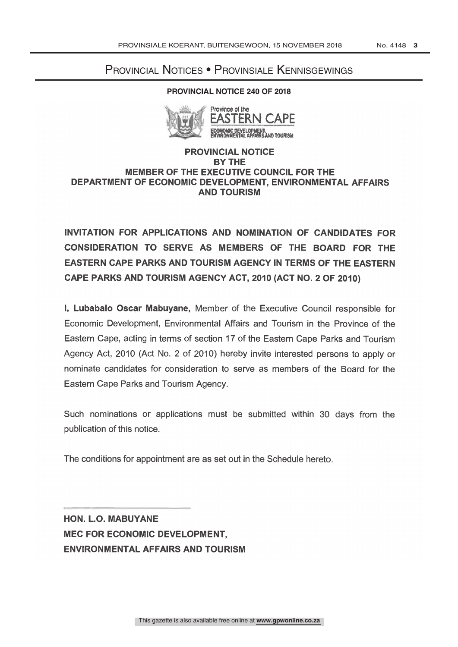# Provincial Notices • Provinsiale Kennisgewings

#### **PROVINCIAL NOTICE 240 OF 2018**



VELOPMENT,<br>IAL AFFAIRS AND TOURISM

#### PROVINCIAL NOTICE BY THE MEMBER OF THE EXECUTIVE COUNCIL FOR THE DEPARTMENT OF ECONOMIC DEVELOPMENT, ENVIRONMENTAL AFFAIRS AND TOURISM

INVITATION FOR APPLICATIONS AND NOMINATION OF CANDIDATES FOR CONSIDERATION TO SERVE AS MEMBERS OF THE BOARD FOR THE EASTERN CAPE PARKS AND TOURISM AGENCY IN TERMS OF THE EASTERN CAPE PARKS AND TOURISM AGENCY ACT, 2010 (ACT NO. 2 OF 2010)

I, Lubabalo Oscar Mabuyane, Member of the Executive Council responsible for Economic Development, Environmental Affairs and Tourism in the Province of the Eastern Cape, acting in terms of section 17 of the Eastern Cape Parks and Tourism Agency Act, 2010 (Act No. 2 of 2010) hereby invite interested persons to apply or nominate candidates for consideration to serve as members of the Board for the Eastern Cape Parks and Tourism Agency.

Such nominations or applications must be submitted within 30 days from the publication of this notice.

The conditions for appointment are as set out in the Schedule hereto.

HON. L.O. MABUYANE MEC FOR ECONOMIC DEVELOPMENT, ENVIRONMENTAL AFFAIRS AND TOURISM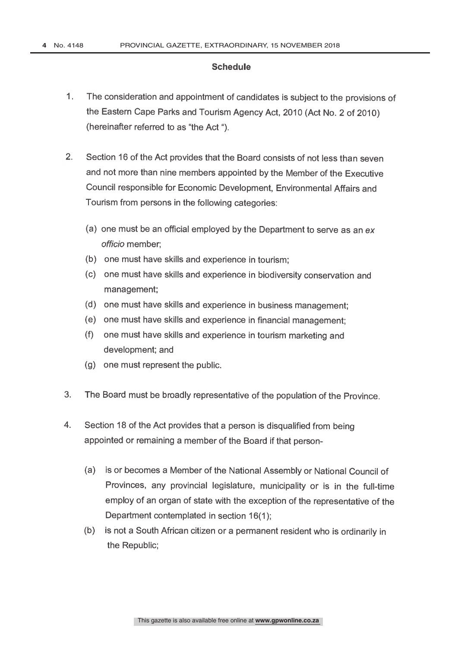### **Schedule**

- 1. The consideration and appointment of candidates is subject to the provisions of the Eastern Cape Parks and Tourism Agency Act, 2010 (Act No. 2 of 2010) (hereinafter referred to as "the Act ").
- 2. Section 16 of the Act provides that the Board consists of not less than seven and not more than nine members appointed by the Member of the Executive Council responsible for Economic Development, Environmental Affairs and Tourism from persons in the following categories:
	- (a) one must be an official employed by the Department to serve as an ex officio member;
	- (b) one must have skills and experience in tourism;
	- (c) one must have skills and experience in biodiversity conservation and management;
	- (d) one must have skills and experience in business management;
	- (e) one must have skills and experience in financial management;
	- (f) one must have skills and experience in tourism marketing and development; and
	- (g) one must represent the public.
- 3. The Board must be broadly representative of the population of the Province.
- 4. Section 18 of the Act provides that a person is disqualified from being appointed or remaining a member of the Board if that person-
	- (a) is or becomes a Member of the National Assembly or National Council of Provinces, any provincial legislature, municipality or is in the full-time employ of an organ of state with the exception of the representative of the Department contemplated in section 16(1);
	- (b) is not a South African citizen or a permanent resident who is ordinarily in the Republic;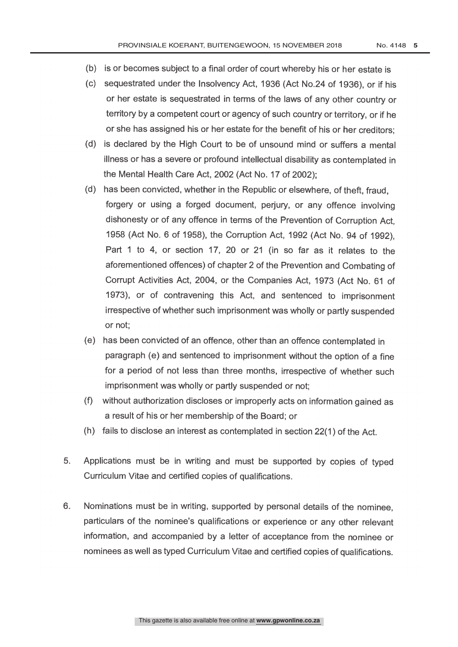- (b) is or becomes subject to a final order of court whereby his or her estate is
- (c) sequestrated under the Insolvency Act, 1936 (Act No.24 of 1936), or if his or her estate is sequestrated in terms of the laws of any other country or territory by a competent court or agency of such country or territory, or if he or she has assigned his or her estate for the benefit of his or her creditors;
- (d) is declared by the High Court to be of unsound mind or suffers a mental illness or has a severe or profound intellectual disability as contemplated in the Mental Health Care Act, 2002 (Act No. 17 of 2002);
- (d) has been convicted, whether in the Republic or elsewhere, of theft, fraud, forgery or using a forged document, perjury, or any offence involving dishonesty or of any offence in terms of the Prevention of Corruption Act, 1958 (Act No. 6 of 1958), the Corruption Act, 1992 (Act No. 94 of 1992), Part <sup>1</sup> to 4, or section 17, 20 or 21 (in so far as it relates to the aforementioned offences) of chapter 2 of the Prevention and Combating of Corrupt Activities Act, 2004, or the Companies Act, 1973 (Act No. 61 of 1973), or of contravening this Act, and sentenced to imprisonment irrespective of whether such imprisonment was wholly or partly suspended or not;
- (e) has been convicted of an offence, other than an offence contemplated in paragraph (e) and sentenced to imprisonment without the option of a fine for a period of not less than three months, irrespective of whether such imprisonment was wholly or partly suspended or not;
- (f) without authorization discloses or improperly acts on information gained as a result of his or her membership of the Board; or
- (h) fails to disclose an interest as contemplated in section 22(1) of the Act.
- 5. Applications must be in writing and must be supported by copies of typed Curriculum Vitae and certified copies of qualifications.
- 6. Nominations must be in writing, supported by personal details of the nominee, particulars of the nominee's qualifications or experience or any other relevant information, and accompanied by a letter of acceptance from the nominee or nominees as well as typed Curriculum Vitae and certified copies of qualifications.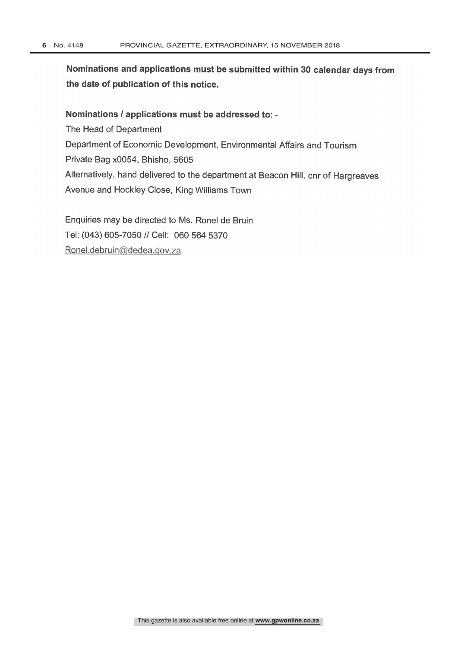Nominations and applications must be submitted within 30 calendar days from the date of publication of this notice.

#### Nominations / applications must be addressed to:

The Head of Department Department of Economic Development, Environmental Affairs and Tourism Private Bag x0054, Bhisho, 5605 Alternatively, hand delivered to the department at Beacon Hill, cnr of Hargreaves Avenue and Hockley Close, King Williams Town

Enquiries may be directed to Ms. Ronel de Bruin Tel: (043) 605-7050 // Cell: 060 564 5370 Ronel.debruin@dedea.gov.za